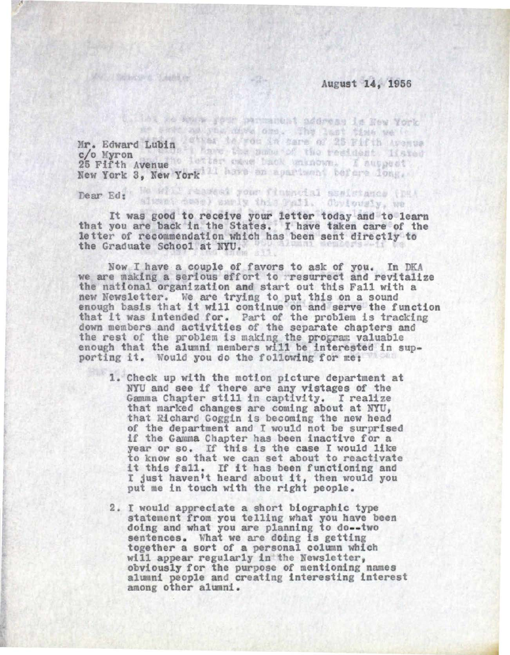## August 14, 1956

Thi as the gour parmanent address is New York several year days one. The last time we'll Mr. Edward Lubin Wheat to you in hare of 25 Fifth Avenue c/o Myron 25 Fifth Avenue New York 3, New York 1 have an apartment before dong,

Well, of Salawayers, "Chand by

Dear Ed: We will readist your financial absistance (DEA

It was good to receive your letter today and to learn that you are back in the States. I have taken care of the letter of recommendation which bas been sent directly to the Graduate School at NYU.

Now I have a couple of favors to ask of you. In DKA we are making a serious effort to resurrect and revitalize the national organization and start out this Fall with a new Newsletter. we are trying to put this on a sound new Newsletter. We are trying to put this on a sound<br>enough basis that it will continue on and serve the function that it was intended for. Part of the problem is tracking down members and activities of the separate chapters and the rest of the problem is making the program valuable enough that the alumni members will be interested in sup-<br>porting it. Would you do the following for me:

- 1. Check up with the motion picture department at NYU and see if there are any vistages of the Gamma Chapter still in captivity. I realize that marked changes are coming about at NYU, that Richard Goggin is becoming the new head of the department and I would not be surprised if the Gamma Chapter has been inactive for a year or so. If this is the case I would like to know so that we can set about to reactivate it this fall. If it has been functioning and I just haven•t heard about it, then would you put me in touch with the right people.
- 2. I would appreciate a short biographic type statement from you telling what you have been doing and what you are planning to do--two sentences. What we are doing is getting<br>together a sort of a personal column which will appear regularly in the Newsletter, obviously for the purpose of mentioning names alumni people and creating interesting interest among other alumni.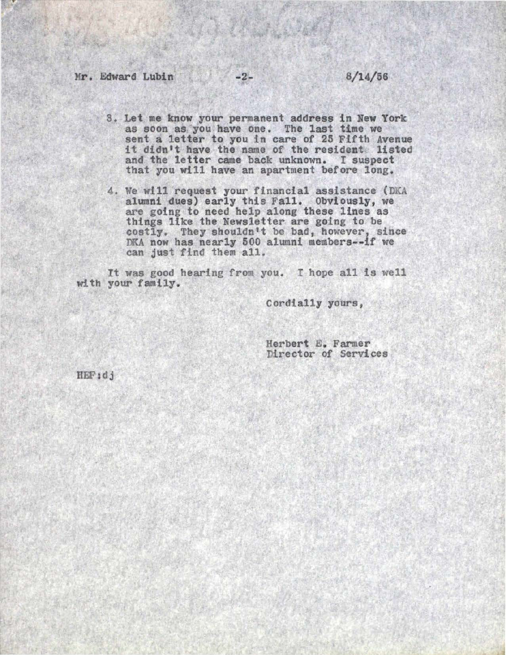- 3. Let me know your permanent address in New York as soon as you have one. The last time we sent a letter to you in care of 25 Fifth Avenue it didn't have the name of the resident listed and the letter came back unknown. I suspect that you will have an apartment before long.
- 4. We will request your financial assistance (DKA alumni dues) early this Fall. Obviously, we are going to need help along these lines as things like the Newsletter are going to be costly. They shouldn't be bad, however, since DKA now has nearly 500 alumni members--if we can just find them all.

It was good hearing from you. I hope all is well with your family.

Cordially yours.

Herbert E. Farmer Director of Services

HEF:dj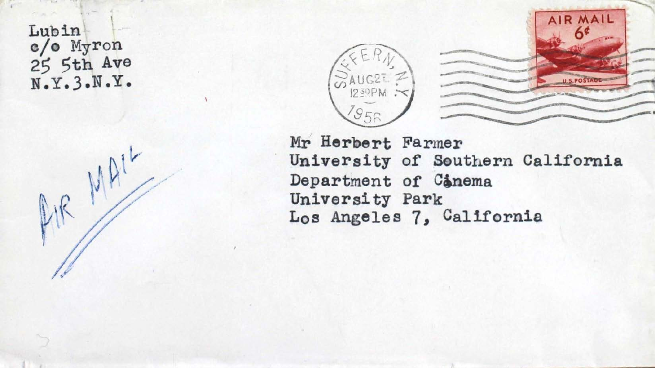Lubin c/o Myron 25 5th Ave N.Y.3.N.Y.





Mr Herbert Farmer University of Southern California Department of Conema University Park Los Angeles 7, California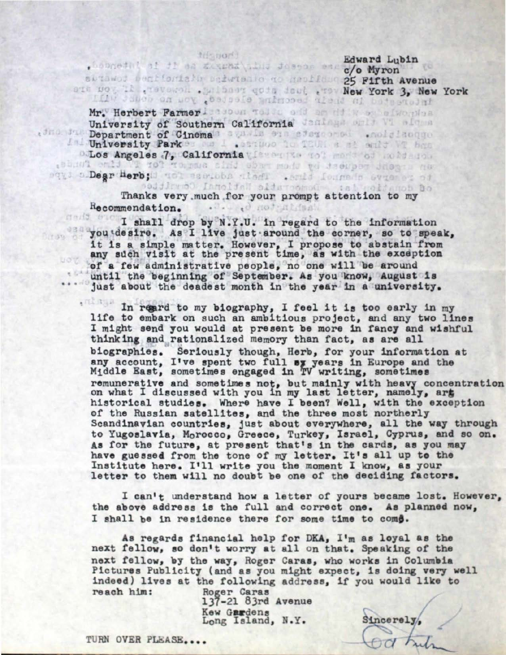tifs sor() Edward Lubin . Sobgeth! al di da ziszba alua Josgos es c/o Myron suthwest bent fortally enterially no habital 25 Fifth Avenue exa woy if they send .golden gots desi they New York 3, New York Mr. Herbert Farmer Issue Tolde odd an di was a worden University of Southern California January and Windows Department of Cinema University Park • California y fans y california y fans y composition and the contract of the contract of the contract of the contract of the contract of the contract of the contract of the contract of the contract of the contract of the co

Bqy : Dear Herb; d tot esc.bbs aledi . Soild fourado Svienes of

• •

rise est

Thanks very .much for your prompt attention to my . . . . . . d not nide He commendation.

I shall drop by N.Y.U. in regard to the information you desire. As I live just around the corner, so to speak, it is a simple matter. However, I propose to abstain from any sdch visit at the present time, as with the exception of a few administrative people, no one will be around until the beginning of September. As you know, August is just about the deadest month in the year in a university.

 $6.8311$ In reard to my biography, I feel it is too early in my life to embark on such an ambitious project, and any two lines I might send you would at present be more 1n fancy and wishful thinking and rationalized memory than fact, as are all biographies. Seriously though, Herb, for your information at any account, I've spent two full sy years in Europe and the Middle East, sometimes engaged in TV writing, sometimes remunerative and sometimes not, but mainly with heavy concentration on what I discussed with you in my last letter, namely, art historical studies. Where have I been? Well, with the exception of the Russian satellites, and the three most northerly Scandinavian countries, just about everywhere, all the way through to Yugoslavia, Morocco, Greece, Turkey, Israel, Cyprus, and so on. As for the future, at present that's in the cards, as you may have guessed from the tone of my letter. It's all up to the Institute here. I'll write you the moment I know, as your letter to them will no doubt be one of the deciding factors.

I can't understand how a letter of yours became lost. However, the above address is the full and correct one. As planned now, I shall be in residence there for some time to come.

 $Sineerely,$ 

regards financial help for DKA, I'm as loyal as t ext fellow, so don't worry at all on that. Speaking of the next fellow, by the way, Roger Caras, who works in Columbia ictures Publicity (and as you might expect, is doing very well indeed) lives at the following address, if you would like to reach him: Roger Caras

137-21 83rd Avenue Kew Gardens Long Island, N.Y.

TURN OVER PLEASE....